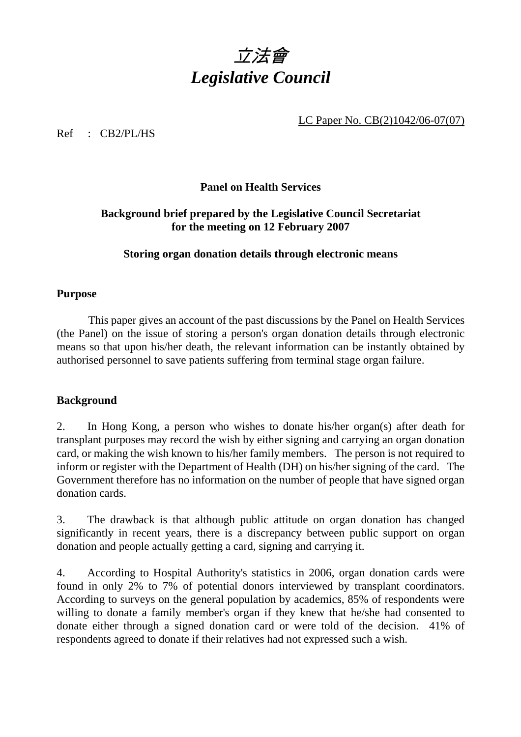

LC Paper No. CB(2)1042/06-07(07)

Ref : CB2/PL/HS

### **Panel on Health Services**

# **Background brief prepared by the Legislative Council Secretariat for the meeting on 12 February 2007**

### **Storing organ donation details through electronic means**

### **Purpose**

 This paper gives an account of the past discussions by the Panel on Health Services (the Panel) on the issue of storing a person's organ donation details through electronic means so that upon his/her death, the relevant information can be instantly obtained by authorised personnel to save patients suffering from terminal stage organ failure.

### **Background**

2. In Hong Kong, a person who wishes to donate his/her organ(s) after death for transplant purposes may record the wish by either signing and carrying an organ donation card, or making the wish known to his/her family members. The person is not required to inform or register with the Department of Health (DH) on his/her signing of the card. The Government therefore has no information on the number of people that have signed organ donation cards.

3. The drawback is that although public attitude on organ donation has changed significantly in recent years, there is a discrepancy between public support on organ donation and people actually getting a card, signing and carrying it.

4. According to Hospital Authority's statistics in 2006, organ donation cards were found in only 2% to 7% of potential donors interviewed by transplant coordinators. According to surveys on the general population by academics, 85% of respondents were willing to donate a family member's organ if they knew that he/she had consented to donate either through a signed donation card or were told of the decision. 41% of respondents agreed to donate if their relatives had not expressed such a wish.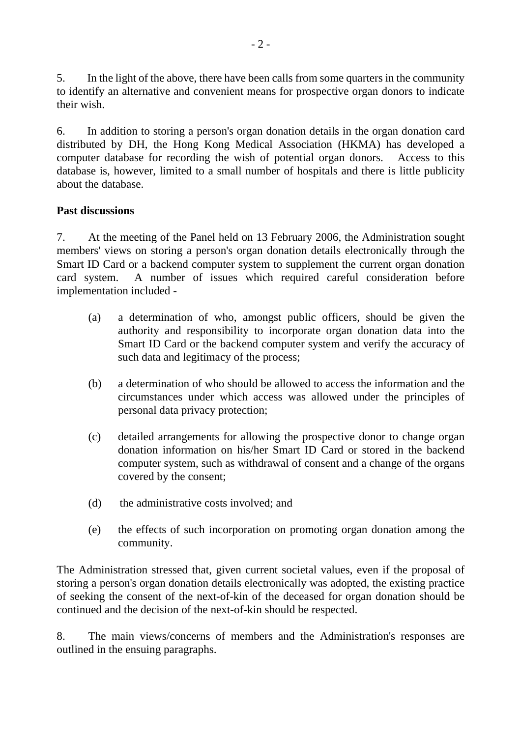5. In the light of the above, there have been calls from some quarters in the community to identify an alternative and convenient means for prospective organ donors to indicate their wish.

6. In addition to storing a person's organ donation details in the organ donation card distributed by DH, the Hong Kong Medical Association (HKMA) has developed a computer database for recording the wish of potential organ donors. Access to this database is, however, limited to a small number of hospitals and there is little publicity about the database.

# **Past discussions**

7. At the meeting of the Panel held on 13 February 2006, the Administration sought members' views on storing a person's organ donation details electronically through the Smart ID Card or a backend computer system to supplement the current organ donation card system. A number of issues which required careful consideration before implementation included -

- (a) a determination of who, amongst public officers, should be given the authority and responsibility to incorporate organ donation data into the Smart ID Card or the backend computer system and verify the accuracy of such data and legitimacy of the process;
- (b) a determination of who should be allowed to access the information and the circumstances under which access was allowed under the principles of personal data privacy protection;
- (c) detailed arrangements for allowing the prospective donor to change organ donation information on his/her Smart ID Card or stored in the backend computer system, such as withdrawal of consent and a change of the organs covered by the consent;
- (d) the administrative costs involved; and
- (e) the effects of such incorporation on promoting organ donation among the community.

The Administration stressed that, given current societal values, even if the proposal of storing a person's organ donation details electronically was adopted, the existing practice of seeking the consent of the next-of-kin of the deceased for organ donation should be continued and the decision of the next-of-kin should be respected.

8. The main views/concerns of members and the Administration's responses are outlined in the ensuing paragraphs.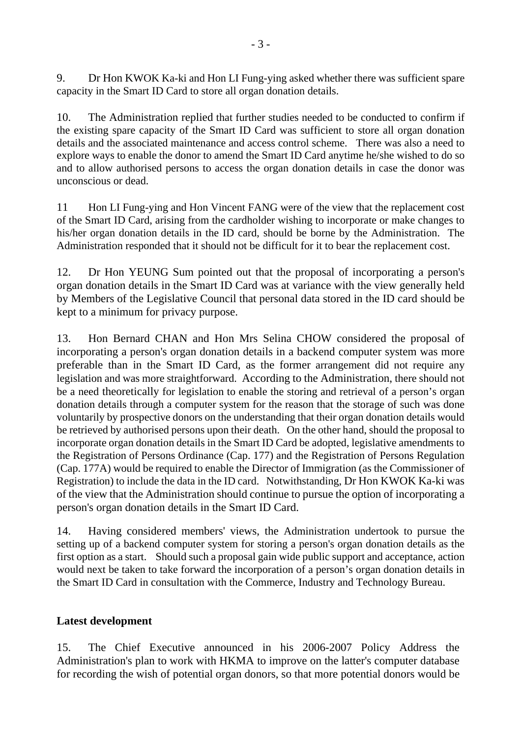9. Dr Hon KWOK Ka-ki and Hon LI Fung-ying asked whether there was sufficient spare capacity in the Smart ID Card to store all organ donation details.

10. The Administration replied that further studies needed to be conducted to confirm if the existing spare capacity of the Smart ID Card was sufficient to store all organ donation details and the associated maintenance and access control scheme. There was also a need to explore ways to enable the donor to amend the Smart ID Card anytime he/she wished to do so and to allow authorised persons to access the organ donation details in case the donor was unconscious or dead.

11 Hon LI Fung-ying and Hon Vincent FANG were of the view that the replacement cost of the Smart ID Card, arising from the cardholder wishing to incorporate or make changes to his/her organ donation details in the ID card, should be borne by the Administration. The Administration responded that it should not be difficult for it to bear the replacement cost.

12. Dr Hon YEUNG Sum pointed out that the proposal of incorporating a person's organ donation details in the Smart ID Card was at variance with the view generally held by Members of the Legislative Council that personal data stored in the ID card should be kept to a minimum for privacy purpose.

13. Hon Bernard CHAN and Hon Mrs Selina CHOW considered the proposal of incorporating a person's organ donation details in a backend computer system was more preferable than in the Smart ID Card, as the former arrangement did not require any legislation and was more straightforward. According to the Administration, there should not be a need theoretically for legislation to enable the storing and retrieval of a person's organ donation details through a computer system for the reason that the storage of such was done voluntarily by prospective donors on the understanding that their organ donation details would be retrieved by authorised persons upon their death. On the other hand, should the proposal to incorporate organ donation details in the Smart ID Card be adopted, legislative amendments to the Registration of Persons Ordinance (Cap. 177) and the Registration of Persons Regulation (Cap. 177A) would be required to enable the Director of Immigration (as the Commissioner of Registration) to include the data in the ID card. Notwithstanding, Dr Hon KWOK Ka-ki was of the view that the Administration should continue to pursue the option of incorporating a person's organ donation details in the Smart ID Card.

14. Having considered members' views, the Administration undertook to pursue the setting up of a backend computer system for storing a person's organ donation details as the first option as a start. Should such a proposal gain wide public support and acceptance, action would next be taken to take forward the incorporation of a person's organ donation details in the Smart ID Card in consultation with the Commerce, Industry and Technology Bureau.

# **Latest development**

15. The Chief Executive announced in his 2006-2007 Policy Address the Administration's plan to work with HKMA to improve on the latter's computer database for recording the wish of potential organ donors, so that more potential donors would be